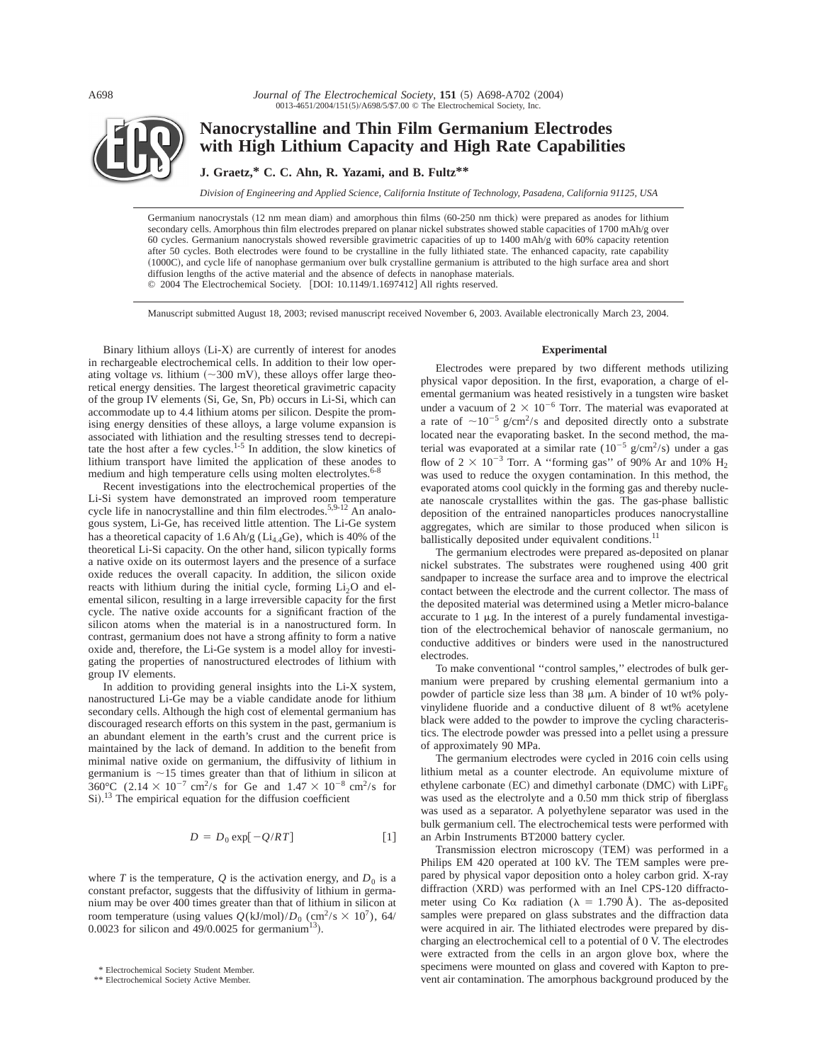A698

*Journal of The Electrochemical Society*, 151 (5) A698-A702 (2004) 0013-4651/2004/151(5)/A698/5/\$7.00 © The Electrochemical Society, Inc.



# **Nanocrystalline and Thin Film Germanium Electrodes with High Lithium Capacity and High Rate Capabilities**

**J. Graetz,\* C. C. Ahn, R. Yazami, and B. Fultz\*\***

*Division of Engineering and Applied Science, California Institute of Technology, Pasadena, California 91125, USA*

Germanium nanocrystals (12 nm mean diam) and amorphous thin films (60-250 nm thick) were prepared as anodes for lithium secondary cells. Amorphous thin film electrodes prepared on planar nickel substrates showed stable capacities of 1700 mAh/g over 60 cycles. Germanium nanocrystals showed reversible gravimetric capacities of up to 1400 mAh/g with 60% capacity retention after 50 cycles. Both electrodes were found to be crystalline in the fully lithiated state. The enhanced capacity, rate capability ~1000C!, and cycle life of nanophase germanium over bulk crystalline germanium is attributed to the high surface area and short diffusion lengths of the active material and the absence of defects in nanophase materials. © 2004 The Electrochemical Society. [DOI: 10.1149/1.1697412] All rights reserved.

Manuscript submitted August 18, 2003; revised manuscript received November 6, 2003. Available electronically March 23, 2004.

Binary lithium alloys  $(Li-X)$  are currently of interest for anodes in rechargeable electrochemical cells. In addition to their low operating voltage *vs.* lithium  $(\sim 300 \text{ mV})$ , these alloys offer large theoretical energy densities. The largest theoretical gravimetric capacity of the group IV elements (Si, Ge, Sn, Pb) occurs in Li-Si, which can accommodate up to 4.4 lithium atoms per silicon. Despite the promising energy densities of these alloys, a large volume expansion is associated with lithiation and the resulting stresses tend to decrepitate the host after a few cycles. $1-5$  In addition, the slow kinetics of lithium transport have limited the application of these anodes to medium and high temperature cells using molten electrolytes.<sup>6-1</sup>

Recent investigations into the electrochemical properties of the Li-Si system have demonstrated an improved room temperature cycle life in nanocrystalline and thin film electrodes.<sup>5,9-12</sup> An analogous system, Li-Ge, has received little attention. The Li-Ge system has a theoretical capacity of 1.6 Ah/g ( $Li<sub>4.4</sub>Ge$ ), which is 40% of the theoretical Li-Si capacity. On the other hand, silicon typically forms a native oxide on its outermost layers and the presence of a surface oxide reduces the overall capacity. In addition, the silicon oxide reacts with lithium during the initial cycle, forming  $Li<sub>2</sub>O$  and elemental silicon, resulting in a large irreversible capacity for the first cycle. The native oxide accounts for a significant fraction of the silicon atoms when the material is in a nanostructured form. In contrast, germanium does not have a strong affinity to form a native oxide and, therefore, the Li-Ge system is a model alloy for investigating the properties of nanostructured electrodes of lithium with group IV elements.

In addition to providing general insights into the Li-X system, nanostructured Li-Ge may be a viable candidate anode for lithium secondary cells. Although the high cost of elemental germanium has discouraged research efforts on this system in the past, germanium is an abundant element in the earth's crust and the current price is maintained by the lack of demand. In addition to the benefit from minimal native oxide on germanium, the diffusivity of lithium in germanium is  $\sim$ 15 times greater than that of lithium in silicon at 360°C (2.14  $\times$  10<sup>-7</sup> cm<sup>2</sup>/s for Ge and 1.47  $\times$  10<sup>-8</sup> cm<sup>2</sup>/s for  $Si$ ).<sup>13</sup> The empirical equation for the diffusion coefficient

$$
D = D_0 \exp[-Q/RT] \tag{1}
$$

where *T* is the temperature, *Q* is the activation energy, and  $D_0$  is a constant prefactor, suggests that the diffusivity of lithium in germanium may be over 400 times greater than that of lithium in silicon at room temperature (using values  $Q(kJ/mol)/D_0$  (cm<sup>2</sup>/s  $\times$  10<sup>7</sup>), 64/ 0.0023 for silicon and  $49/0.0025$  for germanium<sup>13</sup>).

# **Experimental**

Electrodes were prepared by two different methods utilizing physical vapor deposition. In the first, evaporation, a charge of elemental germanium was heated resistively in a tungsten wire basket under a vacuum of  $2 \times 10^{-6}$  Torr. The material was evaporated at a rate of  $\sim 10^{-5}$  g/cm<sup>2</sup>/s and deposited directly onto a substrate located near the evaporating basket. In the second method, the material was evaporated at a similar rate  $(10^{-5} \text{ g/cm}^2/\text{s})$  under a gas flow of  $2 \times 10^{-3}$  Torr. A "forming gas" of 90% Ar and 10%  $H_2$ was used to reduce the oxygen contamination. In this method, the evaporated atoms cool quickly in the forming gas and thereby nucleate nanoscale crystallites within the gas. The gas-phase ballistic deposition of the entrained nanoparticles produces nanocrystalline aggregates, which are similar to those produced when silicon is ballistically deposited under equivalent conditions.<sup>11</sup>

The germanium electrodes were prepared as-deposited on planar nickel substrates. The substrates were roughened using 400 grit sandpaper to increase the surface area and to improve the electrical contact between the electrode and the current collector. The mass of the deposited material was determined using a Metler micro-balance accurate to  $1 \mu g$ . In the interest of a purely fundamental investigation of the electrochemical behavior of nanoscale germanium, no conductive additives or binders were used in the nanostructured electrodes.

To make conventional ''control samples,'' electrodes of bulk germanium were prepared by crushing elemental germanium into a powder of particle size less than 38  $\mu$ m. A binder of 10 wt% polyvinylidene fluoride and a conductive diluent of 8 wt% acetylene black were added to the powder to improve the cycling characteristics. The electrode powder was pressed into a pellet using a pressure of approximately 90 MPa.

The germanium electrodes were cycled in 2016 coin cells using lithium metal as a counter electrode. An equivolume mixture of ethylene carbonate  $(EC)$  and dimethyl carbonate  $(DMC)$  with  $LiPF_6$ was used as the electrolyte and a 0.50 mm thick strip of fiberglass was used as a separator. A polyethylene separator was used in the bulk germanium cell. The electrochemical tests were performed with an Arbin Instruments BT2000 battery cycler.

Transmission electron microscopy (TEM) was performed in a Philips EM 420 operated at 100 kV. The TEM samples were prepared by physical vapor deposition onto a holey carbon grid. X-ray diffraction  $(XRD)$  was performed with an Inel CPS-120 diffractometer using Co K $\alpha$  radiation ( $\lambda = 1.790 \text{ Å}$ ). The as-deposited samples were prepared on glass substrates and the diffraction data were acquired in air. The lithiated electrodes were prepared by discharging an electrochemical cell to a potential of 0 V. The electrodes were extracted from the cells in an argon glove box, where the specimens were mounted on glass and covered with Kapton to prevent air contamination. The amorphous background produced by the \* Electrochemical Society Active Member.<br>Vent air contamination. The amorphous background produced by the \* Electrochemical Society Active Member.

<sup>\*\*</sup> Electrochemical Society Active Member.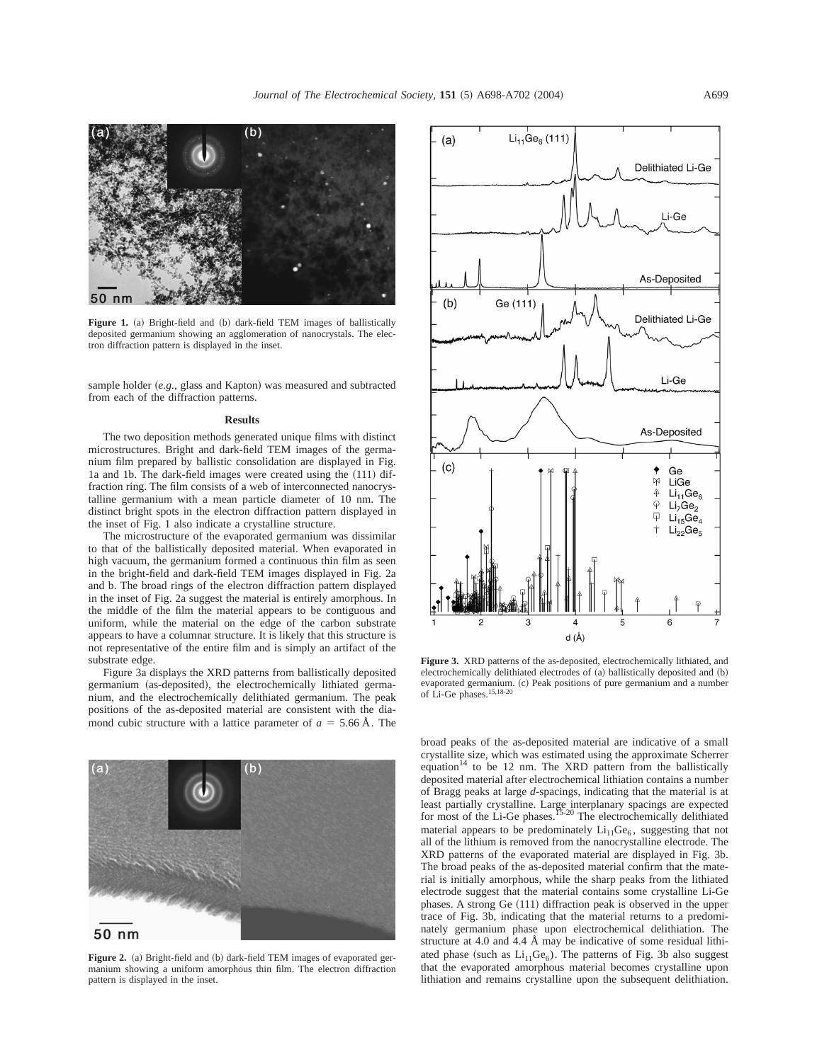

Figure 1. (a) Bright-field and (b) dark-field TEM images of ballistically deposited germanium showing an agglomeration of nanocrystals. The electron diffraction pattern is displayed in the inset.

sample holder (e.g., glass and Kapton) was measured and subtracted from each of the diffraction patterns.

## **Results**

The two deposition methods generated unique films with distinct microstructures. Bright and dark-field TEM images of the germanium film prepared by ballistic consolidation are displayed in Fig. 1a and 1b. The dark-field images were created using the  $(111)$  diffraction ring. The film consists of a web of interconnected nanocrystalline germanium with a mean particle diameter of 10 nm. The distinct bright spots in the electron diffraction pattern displayed in the inset of Fig. 1 also indicate a crystalline structure.

The microstructure of the evaporated germanium was dissimilar to that of the ballistically deposited material. When evaporated in high vacuum, the germanium formed a continuous thin film as seen in the bright-field and dark-field TEM images displayed in Fig. 2a and b. The broad rings of the electron diffraction pattern displayed in the inset of Fig. 2a suggest the material is entirely amorphous. In the middle of the film the material appears to be contiguous and uniform, while the material on the edge of the carbon substrate appears to have a columnar structure. It is likely that this structure is not representative of the entire film and is simply an artifact of the substrate edge.

Figure 3a displays the XRD patterns from ballistically deposited germanium (as-deposited), the electrochemically lithiated germanium, and the electrochemically delithiated germanium. The peak positions of the as-deposited material are consistent with the diamond cubic structure with a lattice parameter of  $a = 5.66 \text{ Å}$ . The



**Figure 2.** (a) Bright-field and (b) dark-field TEM images of evaporated germanium showing a uniform amorphous thin film. The electron diffraction pattern is displayed in the inset.



**Figure 3.** XRD patterns of the as-deposited, electrochemically lithiated, and electrochemically delithiated electrodes of  $(a)$  ballistically deposited and  $(b)$ evaporated germanium. (c) Peak positions of pure germanium and a number of Li-Ge phases.15,18-20

broad peaks of the as-deposited material are indicative of a small crystallite size, which was estimated using the approximate Scherrer equation<sup>14</sup> to be 12 nm. The XRD pattern from the ballistically deposited material after electrochemical lithiation contains a number of Bragg peaks at large *d*-spacings, indicating that the material is at least partially crystalline. Large interplanary spacings are expected for most of the Li-Ge phases.<sup>15-20</sup> The electrochemically delithiated material appears to be predominately  $Li_{11}Ge_6$ , suggesting that not all of the lithium is removed from the nanocrystalline electrode. The XRD patterns of the evaporated material are displayed in Fig. 3b. The broad peaks of the as-deposited material confirm that the material is initially amorphous, while the sharp peaks from the lithiated electrode suggest that the material contains some crystalline Li-Ge phases. A strong Ge  $(111)$  diffraction peak is observed in the upper trace of Fig. 3b, indicating that the material returns to a predominately germanium phase upon electrochemical delithiation. The structure at 4.0 and 4.4 Å may be indicative of some residual lithiated phase (such as  $Li_{11}Ge_6$ ). The patterns of Fig. 3b also suggest that the evaporated amorphous material becomes crystalline upon lithiation and remains crystalline upon the subsequent delithiation.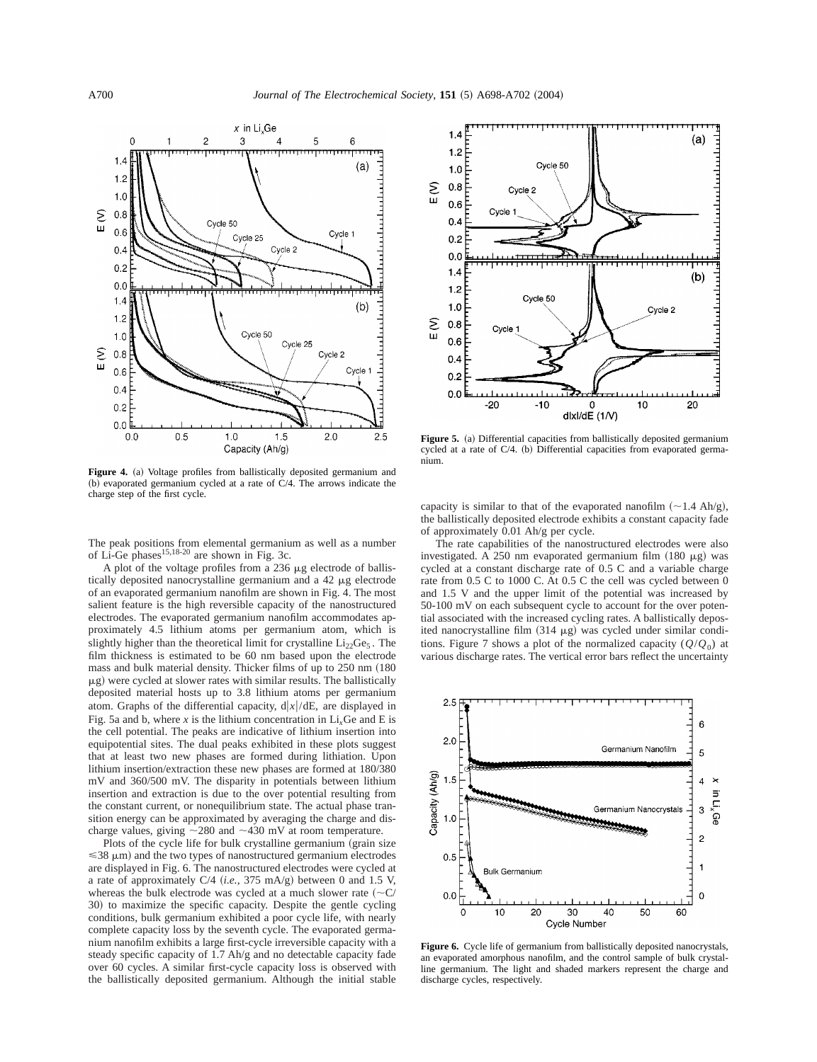

Figure 4. (a) Voltage profiles from ballistically deposited germanium and (b) evaporated germanium cycled at a rate of  $C/4$ . The arrows indicate the charge step of the first cycle.

The peak positions from elemental germanium as well as a number of Li-Ge phases  $15,18-20$  are shown in Fig. 3c.

A plot of the voltage profiles from a  $236 \mu$ g electrode of ballistically deposited nanocrystalline germanium and a 42 mg electrode of an evaporated germanium nanofilm are shown in Fig. 4. The most salient feature is the high reversible capacity of the nanostructured electrodes. The evaporated germanium nanofilm accommodates approximately 4.5 lithium atoms per germanium atom, which is slightly higher than the theoretical limit for crystalline  $Li<sub>22</sub>Ge<sub>5</sub>$ . The film thickness is estimated to be 60 nm based upon the electrode mass and bulk material density. Thicker films of up to  $250$  nm  $(180)$  $\mu$ g) were cycled at slower rates with similar results. The ballistically deposited material hosts up to 3.8 lithium atoms per germanium atom. Graphs of the differential capacity,  $d|x|/dE$ , are displayed in Fig. 5a and b, where  $x$  is the lithium concentration in  $Li<sub>x</sub>Ge$  and E is the cell potential. The peaks are indicative of lithium insertion into equipotential sites. The dual peaks exhibited in these plots suggest that at least two new phases are formed during lithiation. Upon lithium insertion/extraction these new phases are formed at 180/380 mV and 360/500 mV. The disparity in potentials between lithium insertion and extraction is due to the over potential resulting from the constant current, or nonequilibrium state. The actual phase transition energy can be approximated by averaging the charge and discharge values, giving  $\sim$ 280 and  $\sim$ 430 mV at room temperature.

Plots of the cycle life for bulk crystalline germanium (grain size  $\leq$ 38  $\mu$ m) and the two types of nanostructured germanium electrodes are displayed in Fig. 6. The nanostructured electrodes were cycled at a rate of approximately  $C/4$  (*i.e.*, 375 mA/g) between 0 and 1.5 V, whereas the bulk electrode was cycled at a much slower rate  $({\sim}C/$ 30) to maximize the specific capacity. Despite the gentle cycling conditions, bulk germanium exhibited a poor cycle life, with nearly complete capacity loss by the seventh cycle. The evaporated germanium nanofilm exhibits a large first-cycle irreversible capacity with a steady specific capacity of 1.7 Ah/g and no detectable capacity fade over 60 cycles. A similar first-cycle capacity loss is observed with the ballistically deposited germanium. Although the initial stable



**Figure 5.** (a) Differential capacities from ballistically deposited germanium cycled at a rate of  $C/4$ . (b) Differential capacities from evaporated germanium.

capacity is similar to that of the evaporated nanofilm  $(\sim 1.4 \text{ Ah/g})$ , the ballistically deposited electrode exhibits a constant capacity fade of approximately 0.01 Ah/g per cycle.

The rate capabilities of the nanostructured electrodes were also investigated. A 250 nm evaporated germanium film  $(180 \mu g)$  was cycled at a constant discharge rate of 0.5 C and a variable charge rate from 0.5 C to 1000 C. At 0.5 C the cell was cycled between 0 and 1.5 V and the upper limit of the potential was increased by 50-100 mV on each subsequent cycle to account for the over potential associated with the increased cycling rates. A ballistically deposited nanocrystalline film  $(314 \mu g)$  was cycled under similar conditions. Figure 7 shows a plot of the normalized capacity  $(Q/Q_0)$  at various discharge rates. The vertical error bars reflect the uncertainty



**Figure 6.** Cycle life of germanium from ballistically deposited nanocrystals, an evaporated amorphous nanofilm, and the control sample of bulk crystalline germanium. The light and shaded markers represent the charge and discharge cycles, respectively.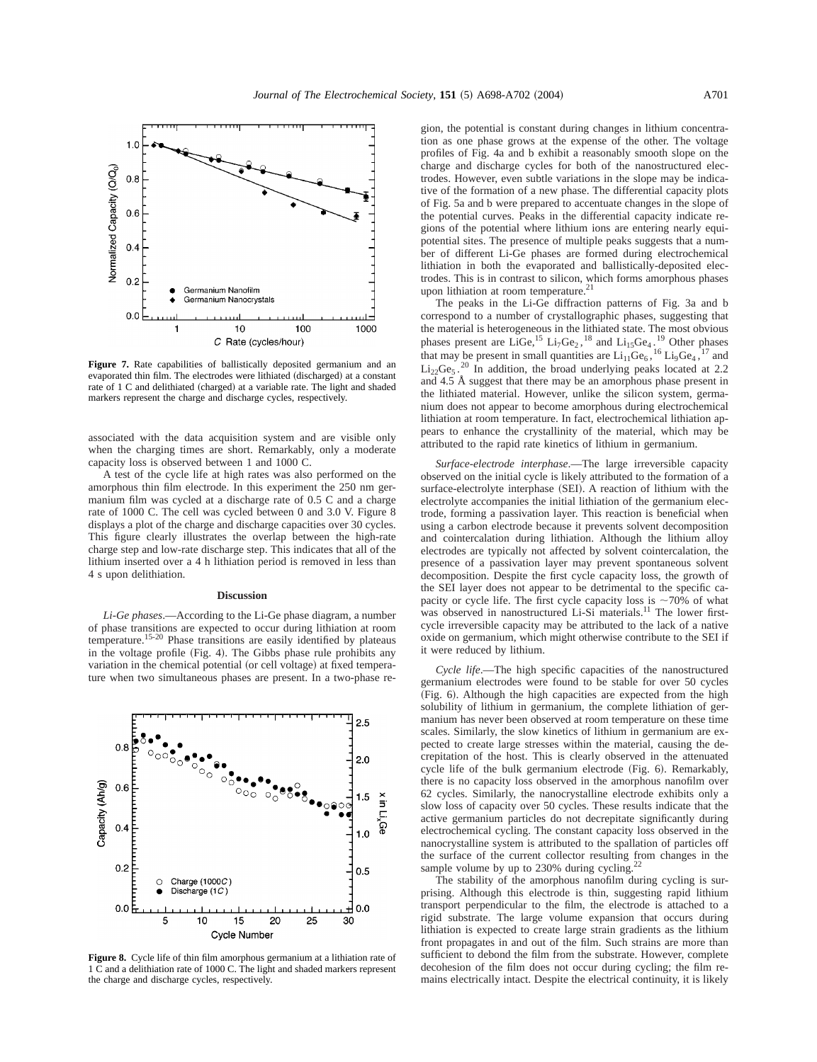

Figure 7. Rate capabilities of ballistically deposited germanium and an evaporated thin film. The electrodes were lithiated (discharged) at a constant rate of 1 C and delithiated (charged) at a variable rate. The light and shaded markers represent the charge and discharge cycles, respectively.

associated with the data acquisition system and are visible only when the charging times are short. Remarkably, only a moderate capacity loss is observed between 1 and 1000 C.

A test of the cycle life at high rates was also performed on the amorphous thin film electrode. In this experiment the 250 nm germanium film was cycled at a discharge rate of 0.5 C and a charge rate of 1000 C. The cell was cycled between 0 and 3.0 V. Figure 8 displays a plot of the charge and discharge capacities over 30 cycles. This figure clearly illustrates the overlap between the high-rate charge step and low-rate discharge step. This indicates that all of the lithium inserted over a 4 h lithiation period is removed in less than 4 s upon delithiation.

#### **Discussion**

*Li-Ge phases*.—According to the Li-Ge phase diagram, a number of phase transitions are expected to occur during lithiation at room temperature.<sup>15-20</sup> Phase transitions are easily identified by plateaus in the voltage profile  $(Fig. 4)$ . The Gibbs phase rule prohibits any variation in the chemical potential (or cell voltage) at fixed temperature when two simultaneous phases are present. In a two-phase re-



**Figure 8.** Cycle life of thin film amorphous germanium at a lithiation rate of 1 C and a delithiation rate of 1000 C. The light and shaded markers represent the charge and discharge cycles, respectively.

gion, the potential is constant during changes in lithium concentration as one phase grows at the expense of the other. The voltage profiles of Fig. 4a and b exhibit a reasonably smooth slope on the charge and discharge cycles for both of the nanostructured electrodes. However, even subtle variations in the slope may be indicative of the formation of a new phase. The differential capacity plots of Fig. 5a and b were prepared to accentuate changes in the slope of the potential curves. Peaks in the differential capacity indicate regions of the potential where lithium ions are entering nearly equipotential sites. The presence of multiple peaks suggests that a number of different Li-Ge phases are formed during electrochemical lithiation in both the evaporated and ballistically-deposited electrodes. This is in contrast to silicon, which forms amorphous phases upon lithiation at room temperature.<sup>21</sup>

The peaks in the Li-Ge diffraction patterns of Fig. 3a and b correspond to a number of crystallographic phases, suggesting that the material is heterogeneous in the lithiated state. The most obvious phases present are LiGe,  ${}^{15}$  Li<sub>7</sub>Ge<sub>2</sub>,  ${}^{18}$  and Li<sub>15</sub>Ge<sub>4</sub>.<sup>19</sup> Other phases that may be present in small quantities are  $Li_{11}Ge_6$ ,  $^{16}Li_9Ge_4$ ,  $^{17}$  and  $Li_{22}Ge_5$ .<sup>20</sup> In addition, the broad underlying peaks located at 2.2 and 4.5 Å suggest that there may be an amorphous phase present in the lithiated material. However, unlike the silicon system, germanium does not appear to become amorphous during electrochemical lithiation at room temperature. In fact, electrochemical lithiation appears to enhance the crystallinity of the material, which may be attributed to the rapid rate kinetics of lithium in germanium.

*Surface-electrode interphase*.—The large irreversible capacity observed on the initial cycle is likely attributed to the formation of a surface-electrolyte interphase (SEI). A reaction of lithium with the electrolyte accompanies the initial lithiation of the germanium electrode, forming a passivation layer. This reaction is beneficial when using a carbon electrode because it prevents solvent decomposition and cointercalation during lithiation. Although the lithium alloy electrodes are typically not affected by solvent cointercalation, the presence of a passivation layer may prevent spontaneous solvent decomposition. Despite the first cycle capacity loss, the growth of the SEI layer does not appear to be detrimental to the specific capacity or cycle life. The first cycle capacity loss is  $\sim$ 70% of what was observed in nanostructured Li-Si materials.<sup>11</sup> The lower firstcycle irreversible capacity may be attributed to the lack of a native oxide on germanium, which might otherwise contribute to the SEI if it were reduced by lithium.

*Cycle life*.—The high specific capacities of the nanostructured germanium electrodes were found to be stable for over 50 cycles (Fig. 6). Although the high capacities are expected from the high solubility of lithium in germanium, the complete lithiation of germanium has never been observed at room temperature on these time scales. Similarly, the slow kinetics of lithium in germanium are expected to create large stresses within the material, causing the decrepitation of the host. This is clearly observed in the attenuated cycle life of the bulk germanium electrode (Fig. 6). Remarkably, there is no capacity loss observed in the amorphous nanofilm over 62 cycles. Similarly, the nanocrystalline electrode exhibits only a slow loss of capacity over 50 cycles. These results indicate that the active germanium particles do not decrepitate significantly during electrochemical cycling. The constant capacity loss observed in the nanocrystalline system is attributed to the spallation of particles off the surface of the current collector resulting from changes in the sample volume by up to 230% during cycling.

The stability of the amorphous nanofilm during cycling is surprising. Although this electrode is thin, suggesting rapid lithium transport perpendicular to the film, the electrode is attached to a rigid substrate. The large volume expansion that occurs during lithiation is expected to create large strain gradients as the lithium front propagates in and out of the film. Such strains are more than sufficient to debond the film from the substrate. However, complete decohesion of the film does not occur during cycling; the film remains electrically intact. Despite the electrical continuity, it is likely